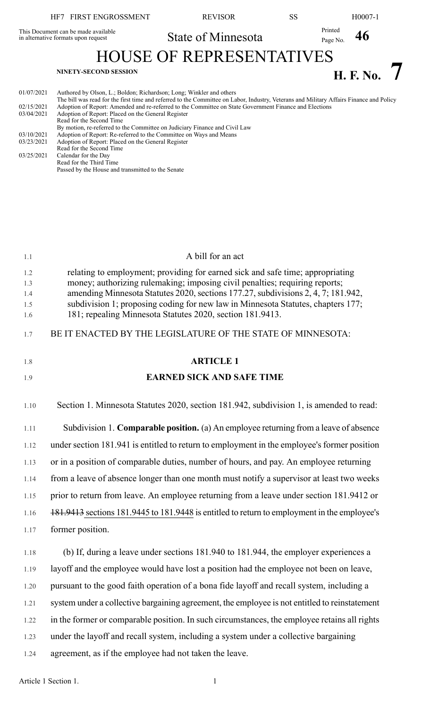## HF7 FIRST ENGROSSMENT REVISOR SS H0007-1 State of Minnesota Printed Page No. 46

This Document can be made available in alternative formats upon request

HOUSE OF REPRESENTATIVES **H. F.** No. 7

| 01/07/2021 | Authored by Olson, L.; Boldon; Richardson; Long; Winkler and others<br>The bill was read for the first time and referred to the Committee on Labor, Industry, Veterans and Military Affairs Finance and Policy |
|------------|----------------------------------------------------------------------------------------------------------------------------------------------------------------------------------------------------------------|
| 02/15/2021 | Adoption of Report: Amended and re-referred to the Committee on State Government Finance and Elections                                                                                                         |
| 03/04/2021 | Adoption of Report: Placed on the General Register                                                                                                                                                             |
|            | Read for the Second Time                                                                                                                                                                                       |
|            | By motion, re-referred to the Committee on Judiciary Finance and Civil Law                                                                                                                                     |
| 03/10/2021 | Adoption of Report: Re-referred to the Committee on Ways and Means                                                                                                                                             |
| 03/23/2021 | Adoption of Report: Placed on the General Register                                                                                                                                                             |
|            | Read for the Second Time                                                                                                                                                                                       |
| 03/25/2021 | Calendar for the Day                                                                                                                                                                                           |
|            | Read for the Third Time                                                                                                                                                                                        |
|            | Passed by the House and transmitted to the Senate                                                                                                                                                              |

| 1.1                             | A bill for an act                                                                                                                                                                                                                                                                                                                                                                                   |
|---------------------------------|-----------------------------------------------------------------------------------------------------------------------------------------------------------------------------------------------------------------------------------------------------------------------------------------------------------------------------------------------------------------------------------------------------|
| 1.2<br>1.3<br>1.4<br>1.5<br>1.6 | relating to employment; providing for earned sick and safe time; appropriating<br>money; authorizing rulemaking; imposing civil penalties; requiring reports;<br>amending Minnesota Statutes 2020, sections 177.27, subdivisions 2, 4, 7; 181.942,<br>subdivision 1; proposing coding for new law in Minnesota Statutes, chapters 177;<br>181; repealing Minnesota Statutes 2020, section 181.9413. |
| 1.7                             | BE IT ENACTED BY THE LEGISLATURE OF THE STATE OF MINNESOTA:                                                                                                                                                                                                                                                                                                                                         |
| 1.8                             | <b>ARTICLE 1</b>                                                                                                                                                                                                                                                                                                                                                                                    |
| 1.9                             | <b>EARNED SICK AND SAFE TIME</b>                                                                                                                                                                                                                                                                                                                                                                    |
| 1.10                            | Section 1. Minnesota Statutes 2020, section 181.942, subdivision 1, is amended to read:                                                                                                                                                                                                                                                                                                             |
| 1.11                            | Subdivision 1. Comparable position. (a) An employee returning from a leave of absence                                                                                                                                                                                                                                                                                                               |
| 1.12                            | under section 181.941 is entitled to return to employment in the employee's former position                                                                                                                                                                                                                                                                                                         |
| 1.13                            | or in a position of comparable duties, number of hours, and pay. An employee returning                                                                                                                                                                                                                                                                                                              |
| 1.14                            | from a leave of absence longer than one month must notify a supervisor at least two weeks                                                                                                                                                                                                                                                                                                           |
| 1.15                            | prior to return from leave. An employee returning from a leave under section 181.9412 or                                                                                                                                                                                                                                                                                                            |
| 1.16                            | 181.9413 sections 181.9445 to 181.9448 is entitled to return to employment in the employee's                                                                                                                                                                                                                                                                                                        |
| 1.17                            | former position.                                                                                                                                                                                                                                                                                                                                                                                    |
| 1.18                            | (b) If, during a leave under sections 181.940 to 181.944, the employer experiences a                                                                                                                                                                                                                                                                                                                |
| 1.19                            | layoff and the employee would have lost a position had the employee not been on leave,                                                                                                                                                                                                                                                                                                              |
| 1.20                            | pursuant to the good faith operation of a bona fide layoff and recall system, including a                                                                                                                                                                                                                                                                                                           |
| 1.21                            | system under a collective bargaining agreement, the employee is not entitled to reinstatement                                                                                                                                                                                                                                                                                                       |
| 1.22                            | in the former or comparable position. In such circumstances, the employee retains all rights                                                                                                                                                                                                                                                                                                        |
| 1.23                            | under the layoff and recall system, including a system under a collective bargaining                                                                                                                                                                                                                                                                                                                |
| 1.24                            | agreement, as if the employee had not taken the leave.                                                                                                                                                                                                                                                                                                                                              |

Article 1 Section 1.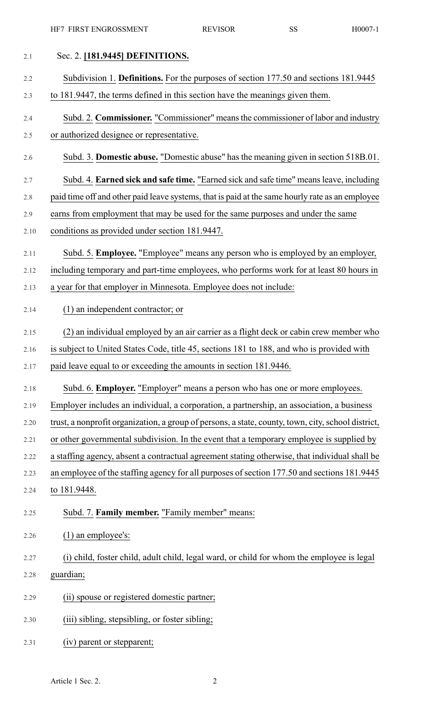| 2.1  | Sec. 2. [181.9445] DEFINITIONS.                                                                    |
|------|----------------------------------------------------------------------------------------------------|
| 2.2  | Subdivision 1. <b>Definitions.</b> For the purposes of section 177.50 and sections 181.9445        |
| 2.3  | to 181.9447, the terms defined in this section have the meanings given them.                       |
| 2.4  | Subd. 2. Commissioner. "Commissioner" means the commissioner of labor and industry                 |
| 2.5  | or authorized designee or representative.                                                          |
| 2.6  | Subd. 3. Domestic abuse. "Domestic abuse" has the meaning given in section 518B.01.                |
| 2.7  | Subd. 4. Earned sick and safe time. "Earned sick and safe time" means leave, including             |
| 2.8  | paid time off and other paid leave systems, that is paid at the same hourly rate as an employee    |
| 2.9  | earns from employment that may be used for the same purposes and under the same                    |
| 2.10 | conditions as provided under section 181.9447.                                                     |
| 2.11 | Subd. 5. Employee. "Employee" means any person who is employed by an employer,                     |
| 2.12 | including temporary and part-time employees, who performs work for at least 80 hours in            |
| 2.13 | a year for that employer in Minnesota. Employee does not include:                                  |
| 2.14 | $(1)$ an independent contractor; or                                                                |
| 2.15 | (2) an individual employed by an air carrier as a flight deck or cabin crew member who             |
| 2.16 | is subject to United States Code, title 45, sections 181 to 188, and who is provided with          |
| 2.17 | paid leave equal to or exceeding the amounts in section 181.9446.                                  |
| 2.18 | Subd. 6. Employer. "Employer" means a person who has one or more employees.                        |
| 2.19 | Employer includes an individual, a corporation, a partnership, an association, a business          |
| 2.20 | trust, a nonprofit organization, a group of persons, a state, county, town, city, school district, |
| 2.21 | or other governmental subdivision. In the event that a temporary employee is supplied by           |
| 2.22 | a staffing agency, absent a contractual agreement stating otherwise, that individual shall be      |
| 2.23 | an employee of the staffing agency for all purposes of section 177.50 and sections 181.9445        |
| 2.24 | to 181.9448.                                                                                       |
| 2.25 | Subd. 7. Family member. "Family member" means:                                                     |
| 2.26 | $(1)$ an employee's:                                                                               |
| 2.27 | (i) child, foster child, adult child, legal ward, or child for whom the employee is legal          |
| 2.28 | guardian;                                                                                          |
| 2.29 | (ii) spouse or registered domestic partner;                                                        |
| 2.30 | (iii) sibling, stepsibling, or foster sibling;                                                     |
| 2.31 | (iv) parent or stepparent;                                                                         |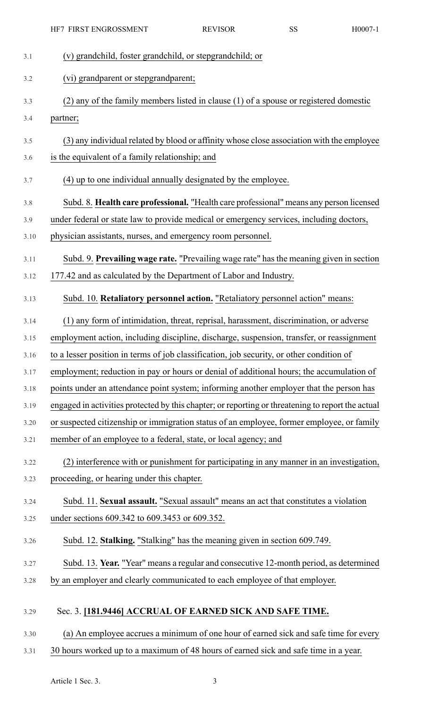|      | HF7 FIRST ENGROSSMENT                                                                             | <b>REVISOR</b> | <b>SS</b> | H0007-1 |
|------|---------------------------------------------------------------------------------------------------|----------------|-----------|---------|
| 3.1  | (v) grandchild, foster grandchild, or stepgrandchild; or                                          |                |           |         |
| 3.2  | (vi) grandparent or stepgrandparent;                                                              |                |           |         |
| 3.3  | (2) any of the family members listed in clause (1) of a spouse or registered domestic             |                |           |         |
| 3.4  | partner;                                                                                          |                |           |         |
| 3.5  | (3) any individual related by blood or affinity whose close association with the employee         |                |           |         |
| 3.6  | is the equivalent of a family relationship; and                                                   |                |           |         |
| 3.7  | (4) up to one individual annually designated by the employee.                                     |                |           |         |
| 3.8  | Subd. 8. Health care professional. "Health care professional" means any person licensed           |                |           |         |
| 3.9  | under federal or state law to provide medical or emergency services, including doctors,           |                |           |         |
| 3.10 | physician assistants, nurses, and emergency room personnel.                                       |                |           |         |
| 3.11 | Subd. 9. Prevailing wage rate. "Prevailing wage rate" has the meaning given in section            |                |           |         |
| 3.12 | 177.42 and as calculated by the Department of Labor and Industry.                                 |                |           |         |
| 3.13 | Subd. 10. Retaliatory personnel action. "Retaliatory personnel action" means:                     |                |           |         |
| 3.14 | (1) any form of intimidation, threat, reprisal, harassment, discrimination, or adverse            |                |           |         |
| 3.15 | employment action, including discipline, discharge, suspension, transfer, or reassignment         |                |           |         |
| 3.16 | to a lesser position in terms of job classification, job security, or other condition of          |                |           |         |
| 3.17 | employment; reduction in pay or hours or denial of additional hours; the accumulation of          |                |           |         |
| 3.18 | points under an attendance point system; informing another employer that the person has           |                |           |         |
| 3.19 | engaged in activities protected by this chapter; or reporting or threatening to report the actual |                |           |         |
| 3.20 | or suspected citizenship or immigration status of an employee, former employee, or family         |                |           |         |
| 3.21 | member of an employee to a federal, state, or local agency; and                                   |                |           |         |
| 3.22 | (2) interference with or punishment for participating in any manner in an investigation,          |                |           |         |
| 3.23 | proceeding, or hearing under this chapter.                                                        |                |           |         |
| 3.24 | Subd. 11. Sexual assault. "Sexual assault" means an act that constitutes a violation              |                |           |         |
| 3.25 | under sections 609.342 to 609.3453 or 609.352.                                                    |                |           |         |
| 3.26 | Subd. 12. Stalking. "Stalking" has the meaning given in section 609.749.                          |                |           |         |
| 3.27 | Subd. 13. Year. "Year" means a regular and consecutive 12-month period, as determined             |                |           |         |
| 3.28 | by an employer and clearly communicated to each employee of that employer.                        |                |           |         |
| 3.29 | Sec. 3. [181.9446] ACCRUAL OF EARNED SICK AND SAFE TIME.                                          |                |           |         |
| 3.30 | (a) An employee accrues a minimum of one hour of earned sick and safe time for every              |                |           |         |
| 3.31 | 30 hours worked up to a maximum of 48 hours of earned sick and safe time in a year.               |                |           |         |

Article 1 Sec. 3. 3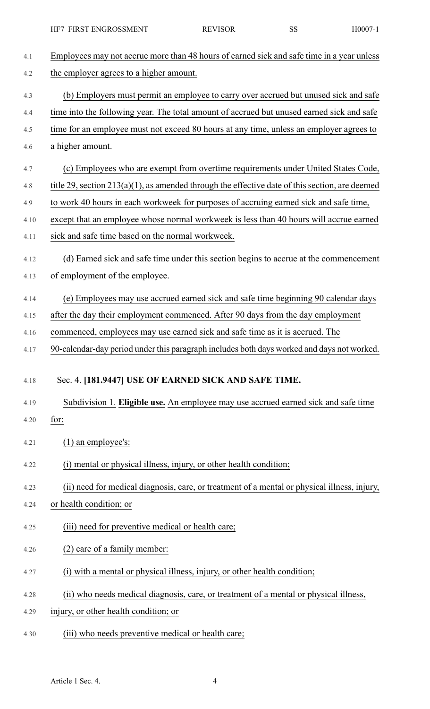| HF7 FIRST ENGROSSMENT | <b>REVISOR</b> | ບບ | H0007-1 |
|-----------------------|----------------|----|---------|
|-----------------------|----------------|----|---------|

| 4.1  | Employees may not accrue more than 48 hours of earned sick and safe time in a year unless         |
|------|---------------------------------------------------------------------------------------------------|
| 4.2  | the employer agrees to a higher amount.                                                           |
| 4.3  | (b) Employers must permit an employee to carry over accrued but unused sick and safe              |
| 4.4  | time into the following year. The total amount of accrued but unused earned sick and safe         |
| 4.5  | time for an employee must not exceed 80 hours at any time, unless an employer agrees to           |
| 4.6  | a higher amount.                                                                                  |
| 4.7  | (c) Employees who are exempt from overtime requirements under United States Code,                 |
| 4.8  | title 29, section $213(a)(1)$ , as amended through the effective date of this section, are deemed |
| 4.9  | to work 40 hours in each workweek for purposes of accruing earned sick and safe time,             |
| 4.10 | except that an employee whose normal workweek is less than 40 hours will accrue earned            |
| 4.11 | sick and safe time based on the normal workweek.                                                  |
| 4.12 | (d) Earned sick and safe time under this section begins to accrue at the commencement             |
| 4.13 | of employment of the employee.                                                                    |
| 4.14 | (e) Employees may use accrued earned sick and safe time beginning 90 calendar days                |
| 4.15 | after the day their employment commenced. After 90 days from the day employment                   |
| 4.16 | commenced, employees may use earned sick and safe time as it is accrued. The                      |
| 4.17 | 90-calendar-day period under this paragraph includes both days worked and days not worked.        |
| 4.18 | Sec. 4. [181.9447] USE OF EARNED SICK AND SAFE TIME.                                              |
|      |                                                                                                   |
| 4.19 | Subdivision 1. Eligible use. An employee may use accrued earned sick and safe time                |
| 4.20 | for:                                                                                              |
| 4.21 | $(1)$ an employee's:                                                                              |
| 4.22 | (i) mental or physical illness, injury, or other health condition;                                |
| 4.23 | (ii) need for medical diagnosis, care, or treatment of a mental or physical illness, injury,      |
| 4.24 | or health condition; or                                                                           |
| 4.25 | (iii) need for preventive medical or health care;                                                 |
| 4.26 | (2) care of a family member:                                                                      |
| 4.27 | (i) with a mental or physical illness, injury, or other health condition;                         |
| 4.28 | (ii) who needs medical diagnosis, care, or treatment of a mental or physical illness,             |
| 4.29 | injury, or other health condition; or                                                             |
| 4.30 | (iii) who needs preventive medical or health care;                                                |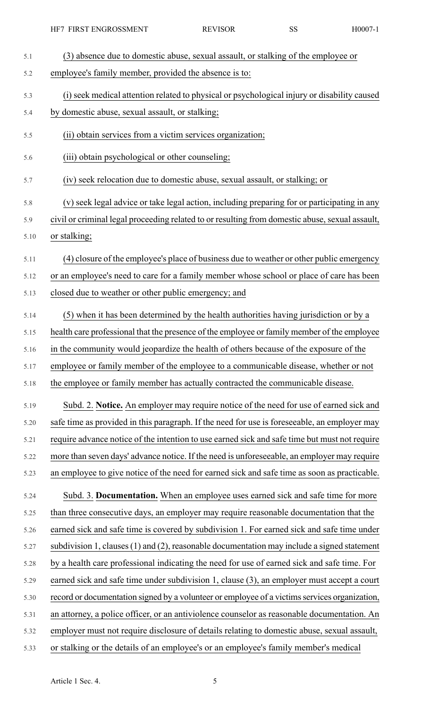| 5.1  | (3) absence due to domestic abuse, sexual assault, or stalking of the employee or                |
|------|--------------------------------------------------------------------------------------------------|
| 5.2  | employee's family member, provided the absence is to:                                            |
| 5.3  | (i) seek medical attention related to physical or psychological injury or disability caused      |
| 5.4  | by domestic abuse, sexual assault, or stalking;                                                  |
| 5.5  | (ii) obtain services from a victim services organization;                                        |
| 5.6  | (iii) obtain psychological or other counseling;                                                  |
| 5.7  | (iv) seek relocation due to domestic abuse, sexual assault, or stalking; or                      |
| 5.8  | (v) seek legal advice or take legal action, including preparing for or participating in any      |
| 5.9  | civil or criminal legal proceeding related to or resulting from domestic abuse, sexual assault,  |
| 5.10 | or stalking;                                                                                     |
| 5.11 | (4) closure of the employee's place of business due to weather or other public emergency         |
| 5.12 | or an employee's need to care for a family member whose school or place of care has been         |
| 5.13 | closed due to weather or other public emergency; and                                             |
| 5.14 | (5) when it has been determined by the health authorities having jurisdiction or by a            |
| 5.15 | health care professional that the presence of the employee or family member of the employee      |
| 5.16 | in the community would jeopardize the health of others because of the exposure of the            |
| 5.17 | employee or family member of the employee to a communicable disease, whether or not              |
| 5.18 | the employee or family member has actually contracted the communicable disease.                  |
| 5.19 | Subd. 2. Notice. An employer may require notice of the need for use of earned sick and           |
| 5.20 | safe time as provided in this paragraph. If the need for use is foreseeable, an employer may     |
| 5.21 | require advance notice of the intention to use earned sick and safe time but must not require    |
| 5.22 | more than seven days' advance notice. If the need is unforeseeable, an employer may require      |
| 5.23 | an employee to give notice of the need for earned sick and safe time as soon as practicable.     |
| 5.24 | Subd. 3. Documentation. When an employee uses earned sick and safe time for more                 |
| 5.25 | than three consecutive days, an employer may require reasonable documentation that the           |
| 5.26 | earned sick and safe time is covered by subdivision 1. For earned sick and safe time under       |
| 5.27 | subdivision 1, clauses $(1)$ and $(2)$ , reasonable documentation may include a signed statement |
| 5.28 | by a health care professional indicating the need for use of earned sick and safe time. For      |
| 5.29 | earned sick and safe time under subdivision 1, clause (3), an employer must accept a court       |
| 5.30 | record or documentation signed by a volunteer or employee of a victims services organization,    |
| 5.31 | an attorney, a police officer, or an antiviolence counselor as reasonable documentation. An      |
| 5.32 | employer must not require disclosure of details relating to domestic abuse, sexual assault,      |
| 5.33 | or stalking or the details of an employee's or an employee's family member's medical             |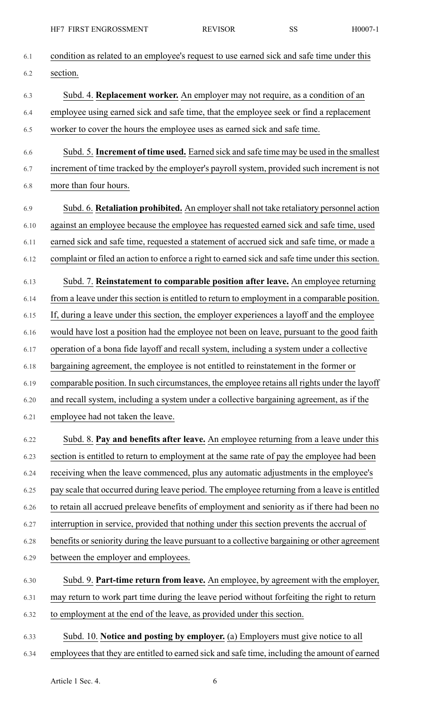| 6.1  | condition as related to an employee's request to use earned sick and safe time under this        |
|------|--------------------------------------------------------------------------------------------------|
| 6.2  | section.                                                                                         |
| 6.3  | Subd. 4. Replacement worker. An employer may not require, as a condition of an                   |
| 6.4  | employee using earned sick and safe time, that the employee seek or find a replacement           |
| 6.5  | worker to cover the hours the employee uses as earned sick and safe time.                        |
| 6.6  | Subd. 5. Increment of time used. Earned sick and safe time may be used in the smallest           |
| 6.7  | increment of time tracked by the employer's payroll system, provided such increment is not       |
| 6.8  | more than four hours.                                                                            |
| 6.9  | Subd. 6. Retaliation prohibited. An employer shall not take retaliatory personnel action         |
| 6.10 | against an employee because the employee has requested earned sick and safe time, used           |
| 6.11 | earned sick and safe time, requested a statement of accrued sick and safe time, or made a        |
| 6.12 | complaint or filed an action to enforce a right to earned sick and safe time under this section. |
| 6.13 | Subd. 7. Reinstatement to comparable position after leave. An employee returning                 |
| 6.14 | from a leave under this section is entitled to return to employment in a comparable position.    |
| 6.15 | If, during a leave under this section, the employer experiences a layoff and the employee        |
| 6.16 | would have lost a position had the employee not been on leave, pursuant to the good faith        |
| 6.17 | operation of a bona fide layoff and recall system, including a system under a collective         |
| 6.18 | bargaining agreement, the employee is not entitled to reinstatement in the former or             |
| 6.19 | comparable position. In such circumstances, the employee retains all rights under the layoff     |
| 6.20 | and recall system, including a system under a collective bargaining agreement, as if the         |
| 6.21 | employee had not taken the leave.                                                                |
| 6.22 | Subd. 8. Pay and benefits after leave. An employee returning from a leave under this             |
| 6.23 | section is entitled to return to employment at the same rate of pay the employee had been        |
| 6.24 | receiving when the leave commenced, plus any automatic adjustments in the employee's             |
| 6.25 | pay scale that occurred during leave period. The employee returning from a leave is entitled     |
| 6.26 | to retain all accrued preleave benefits of employment and seniority as if there had been no      |
| 6.27 | interruption in service, provided that nothing under this section prevents the accrual of        |
| 6.28 | benefits or seniority during the leave pursuant to a collective bargaining or other agreement    |
| 6.29 | between the employer and employees.                                                              |
| 6.30 | Subd. 9. Part-time return from leave. An employee, by agreement with the employer,               |
| 6.31 | may return to work part time during the leave period without forfeiting the right to return      |
| 6.32 | to employment at the end of the leave, as provided under this section.                           |
| 6.33 | Subd. 10. Notice and posting by employer. (a) Employers must give notice to all                  |
| 6.34 | employees that they are entitled to earned sick and safe time, including the amount of earned    |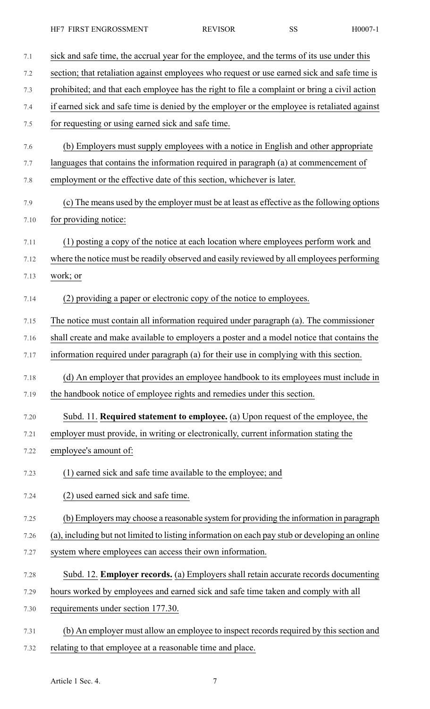HF7 FIRST ENGROSSMENT REVISOR SS H0007-1

- 7.1 sick and safe time, the accrual year for the employee, and the terms of its use under this 7.2 section; that retaliation against employees who request or use earned sick and safe time is 7.3 prohibited; and that each employee has the right to file a complaint or bring a civil action 7.4 if earned sick and safe time is denied by the employer or the employee is retaliated against 7.5 for requesting or using earned sick and safe time. 7.6 (b) Employers must supply employees with a notice in English and other appropriate 7.7 languages that contains the information required in paragraph (a) at commencement of 7.8 employment or the effective date of this section, whichever is later. 7.9 (c) The means used by the employer must be at least as effective as the following options 7.10 for providing notice: 7.11 (1) posting a copy of the notice at each location where employees perform work and 7.12 where the notice must be readily observed and easily reviewed by all employees performing 7.13 work; or 7.14 (2) providing a paper or electronic copy of the notice to employees. 7.15 The notice must contain all information required under paragraph (a). The commissioner 7.16 shall create and make available to employers a poster and a model notice that contains the 7.17 information required under paragraph (a) for their use in complying with this section. 7.18 (d) An employer that provides an employee handbook to its employees must include in 7.19 the handbook notice of employee rights and remedies under this section. 7.20 Subd. 11. **Required statement to employee.** (a) Upon request of the employee, the 7.21 employer must provide, in writing or electronically, current information stating the 7.22 employee's amount of: 7.23 (1) earned sick and safe time available to the employee; and 7.24 (2) used earned sick and safe time. 7.25 (b) Employers may choose a reasonable system for providing the information in paragraph 7.26 (a), including but not limited to listing information on each pay stub or developing an online 7.27 system where employees can access their own information. 7.28 Subd. 12. **Employer records.** (a) Employers shall retain accurate records documenting 7.29 hours worked by employees and earned sick and safe time taken and comply with all 7.30 requirements under section 177.30. 7.31 (b) An employer must allow an employee to inspect records required by this section and
- 7.32 relating to that employee at a reasonable time and place.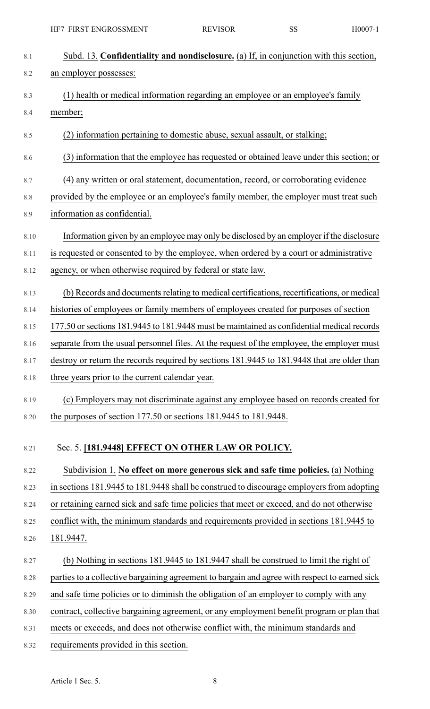| 8.1  | Subd. 13. Confidentiality and nondisclosure. (a) If, in conjunction with this section,        |
|------|-----------------------------------------------------------------------------------------------|
| 8.2  | an employer possesses:                                                                        |
| 8.3  | (1) health or medical information regarding an employee or an employee's family               |
| 8.4  | member;                                                                                       |
| 8.5  | (2) information pertaining to domestic abuse, sexual assault, or stalking;                    |
| 8.6  | (3) information that the employee has requested or obtained leave under this section; or      |
| 8.7  | (4) any written or oral statement, documentation, record, or corroborating evidence           |
| 8.8  | provided by the employee or an employee's family member, the employer must treat such         |
| 8.9  | information as confidential.                                                                  |
| 8.10 | Information given by an employee may only be disclosed by an employer if the disclosure       |
| 8.11 | is requested or consented to by the employee, when ordered by a court or administrative       |
| 8.12 | agency, or when otherwise required by federal or state law.                                   |
| 8.13 | (b) Records and documents relating to medical certifications, recertifications, or medical    |
| 8.14 | histories of employees or family members of employees created for purposes of section         |
| 8.15 | 177.50 or sections 181.9445 to 181.9448 must be maintained as confidential medical records    |
| 8.16 | separate from the usual personnel files. At the request of the employee, the employer must    |
| 8.17 | destroy or return the records required by sections 181.9445 to 181.9448 that are older than   |
| 8.18 | three years prior to the current calendar year.                                               |
| 8.19 | (c) Employers may not discriminate against any employee based on records created for          |
| 8.20 | the purposes of section 177.50 or sections 181.9445 to 181.9448.                              |
| 8.21 | Sec. 5. [181.9448] EFFECT ON OTHER LAW OR POLICY.                                             |
| 8.22 | Subdivision 1. No effect on more generous sick and safe time policies. (a) Nothing            |
| 8.23 | in sections 181.9445 to 181.9448 shall be construed to discourage employers from adopting     |
| 8.24 | or retaining earned sick and safe time policies that meet or exceed, and do not otherwise     |
| 8.25 | conflict with, the minimum standards and requirements provided in sections 181.9445 to        |
| 8.26 | 181.9447.                                                                                     |
| 8.27 | (b) Nothing in sections 181.9445 to 181.9447 shall be construed to limit the right of         |
| 8.28 | parties to a collective bargaining agreement to bargain and agree with respect to earned sick |
| 8.29 | and safe time policies or to diminish the obligation of an employer to comply with any        |
| 8.30 | contract, collective bargaining agreement, or any employment benefit program or plan that     |
| 8.31 | meets or exceeds, and does not otherwise conflict with, the minimum standards and             |

8.32 requirements provided in this section.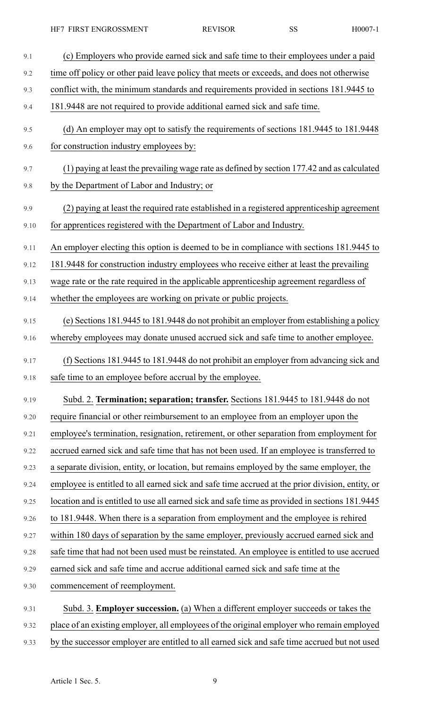HF7 FIRST ENGROSSMENT REVISOR SS H0007-1

| 9.1  | (c) Employers who provide earned sick and safe time to their employees under a paid             |
|------|-------------------------------------------------------------------------------------------------|
| 9.2  | time off policy or other paid leave policy that meets or exceeds, and does not otherwise        |
| 9.3  | conflict with, the minimum standards and requirements provided in sections 181.9445 to          |
| 9.4  | 181.9448 are not required to provide additional earned sick and safe time.                      |
| 9.5  | (d) An employer may opt to satisfy the requirements of sections 181.9445 to 181.9448            |
| 9.6  | for construction industry employees by:                                                         |
| 9.7  | (1) paying at least the prevailing wage rate as defined by section 177.42 and as calculated     |
| 9.8  | by the Department of Labor and Industry; or                                                     |
| 9.9  | (2) paying at least the required rate established in a registered apprenticeship agreement      |
| 9.10 | for apprentices registered with the Department of Labor and Industry.                           |
| 9.11 | An employer electing this option is deemed to be in compliance with sections 181.9445 to        |
| 9.12 | 181.9448 for construction industry employees who receive either at least the prevailing         |
| 9.13 | wage rate or the rate required in the applicable apprenticeship agreement regardless of         |
| 9.14 | whether the employees are working on private or public projects.                                |
| 9.15 | (e) Sections 181.9445 to 181.9448 do not prohibit an employer from establishing a policy        |
| 9.16 | whereby employees may donate unused accrued sick and safe time to another employee.             |
| 9.17 | (f) Sections 181.9445 to 181.9448 do not prohibit an employer from advancing sick and           |
| 9.18 | safe time to an employee before accrual by the employee.                                        |
| 9.19 | Subd. 2. Termination; separation; transfer. Sections 181.9445 to 181.9448 do not                |
| 9.20 | require financial or other reimbursement to an employee from an employer upon the               |
| 9.21 | employee's termination, resignation, retirement, or other separation from employment for        |
| 9.22 | accrued earned sick and safe time that has not been used. If an employee is transferred to      |
| 9.23 | a separate division, entity, or location, but remains employed by the same employer, the        |
| 9.24 | employee is entitled to all earned sick and safe time accrued at the prior division, entity, or |
| 9.25 | location and is entitled to use all earned sick and safe time as provided in sections 181.9445  |
| 9.26 | to 181.9448. When there is a separation from employment and the employee is rehired             |
| 9.27 | within 180 days of separation by the same employer, previously accrued earned sick and          |
| 9.28 | safe time that had not been used must be reinstated. An employee is entitled to use accrued     |
| 9.29 | earned sick and safe time and accrue additional earned sick and safe time at the                |
| 9.30 | commencement of reemployment.                                                                   |
| 9.31 | Subd. 3. <b>Employer succession.</b> (a) When a different employer succeeds or takes the        |
| 9.32 | place of an existing employer, all employees of the original employer who remain employed       |

9.33 by the successor employer are entitled to all earned sick and safe time accrued but not used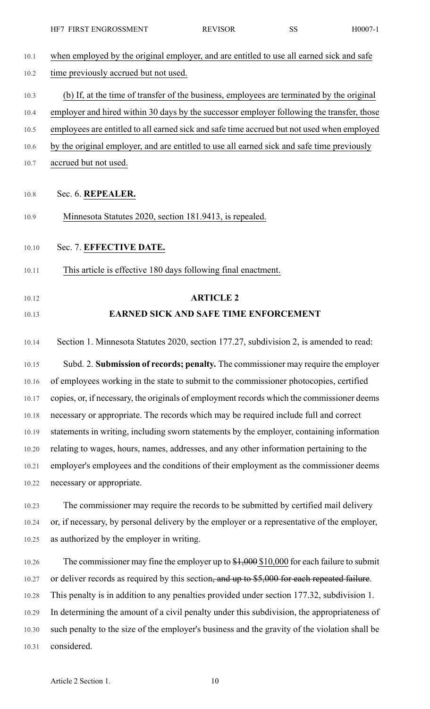| 10.1  | when employed by the original employer, and are entitled to use all earned sick and safe      |
|-------|-----------------------------------------------------------------------------------------------|
| 10.2  | time previously accrued but not used.                                                         |
| 10.3  | (b) If, at the time of transfer of the business, employees are terminated by the original     |
| 10.4  | employer and hired within 30 days by the successor employer following the transfer, those     |
| 10.5  | employees are entitled to all earned sick and safe time accrued but not used when employed    |
| 10.6  | by the original employer, and are entitled to use all earned sick and safe time previously    |
| 10.7  | accrued but not used.                                                                         |
| 10.8  | Sec. 6. REPEALER.                                                                             |
| 10.9  | Minnesota Statutes 2020, section 181.9413, is repealed.                                       |
| 10.10 | Sec. 7. EFFECTIVE DATE.                                                                       |
| 10.11 | This article is effective 180 days following final enactment.                                 |
| 10.12 | <b>ARTICLE 2</b>                                                                              |
| 10.13 | <b>EARNED SICK AND SAFE TIME ENFORCEMENT</b>                                                  |
| 10.14 | Section 1. Minnesota Statutes 2020, section 177.27, subdivision 2, is amended to read:        |
| 10.15 | Subd. 2. Submission of records; penalty. The commissioner may require the employer            |
| 10.16 | of employees working in the state to submit to the commissioner photocopies, certified        |
| 10.17 | copies, or, if necessary, the originals of employment records which the commissioner deems    |
| 10.18 | necessary or appropriate. The records which may be required include full and correct          |
| 10.19 | statements in writing, including sworn statements by the employer, containing information     |
| 10.20 | relating to wages, hours, names, addresses, and any other information pertaining to the       |
| 10.21 | employer's employees and the conditions of their employment as the commissioner deems         |
| 10.22 | necessary or appropriate.                                                                     |
| 10.23 | The commissioner may require the records to be submitted by certified mail delivery           |
| 10.24 | or, if necessary, by personal delivery by the employer or a representative of the employer,   |
| 10.25 | as authorized by the employer in writing.                                                     |
| 10.26 | The commissioner may fine the employer up to $$1,000$ \$10,000 for each failure to submit     |
| 10.27 | or deliver records as required by this section, and up to \$5,000 for each repeated failure.  |
| 10.28 | This penalty is in addition to any penalties provided under section 177.32, subdivision 1.    |
| 10.29 | In determining the amount of a civil penalty under this subdivision, the appropriateness of   |
| 10.30 | such penalty to the size of the employer's business and the gravity of the violation shall be |

10.31 considered.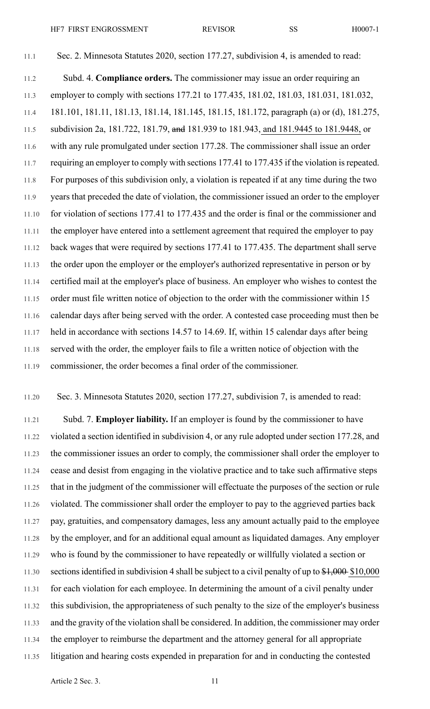11.1 Sec. 2. Minnesota Statutes 2020, section 177.27, subdivision 4, is amended to read: 11.2 Subd. 4. **Compliance orders.** The commissioner may issue an order requiring an 11.3 employer to comply with sections 177.21 to 177.435, 181.02, 181.03, 181.031, 181.032, 11.4 181.101, 181.11, 181.13, 181.14, 181.145, 181.15, 181.172, paragraph (a) or (d), 181.275, 11.5 subdivision 2a, 181.722, 181.79, and 181.939 to 181.943, and 181.9445 to 181.9448, or 11.6 with any rule promulgated under section 177.28. The commissioner shall issue an order 11.7 requiring an employer to comply with sections 177.41 to 177.435 if the violation is repeated. 11.8 For purposes of this subdivision only, a violation is repeated if at any time during the two 11.9 years that preceded the date of violation, the commissioner issued an order to the employer 11.10 for violation of sections 177.41 to 177.435 and the order is final or the commissioner and 11.11 the employer have entered into a settlement agreement that required the employer to pay 11.12 back wages that were required by sections 177.41 to 177.435. The department shall serve 11.13 the order upon the employer or the employer's authorized representative in person or by 11.14 certified mail at the employer's place of business. An employer who wishes to contest the 11.15 order must file written notice of objection to the order with the commissioner within 15 11.16 calendar days after being served with the order. A contested case proceeding must then be 11.17 held in accordance with sections 14.57 to 14.69. If, within 15 calendar days after being

11.18 served with the order, the employer fails to file a written notice of objection with the 11.19 commissioner, the order becomes a final order of the commissioner.

11.20 Sec. 3. Minnesota Statutes 2020, section 177.27, subdivision 7, is amended to read:

11.21 Subd. 7. **Employer liability.** If an employer is found by the commissioner to have 11.22 violated a section identified in subdivision 4, or any rule adopted under section 177.28, and 11.23 the commissioner issues an order to comply, the commissioner shall order the employer to 11.24 cease and desist from engaging in the violative practice and to take such affirmative steps 11.25 that in the judgment of the commissioner will effectuate the purposes of the section or rule 11.26 violated. The commissioner shall order the employer to pay to the aggrieved parties back 11.27 pay, gratuities, and compensatory damages, less any amount actually paid to the employee 11.28 by the employer, and for an additional equal amount as liquidated damages. Any employer 11.29 who is found by the commissioner to have repeatedly or willfully violated a section or 11.30 sections identified in subdivision 4 shall be subject to a civil penalty of up to  $\frac{$1,000}{$1,000}$ 11.31 for each violation for each employee. In determining the amount of a civil penalty under 11.32 this subdivision, the appropriateness of such penalty to the size of the employer's business 11.33 and the gravity of the violation shall be considered. In addition, the commissioner may order 11.34 the employer to reimburse the department and the attorney general for all appropriate 11.35 litigation and hearing costs expended in preparation for and in conducting the contested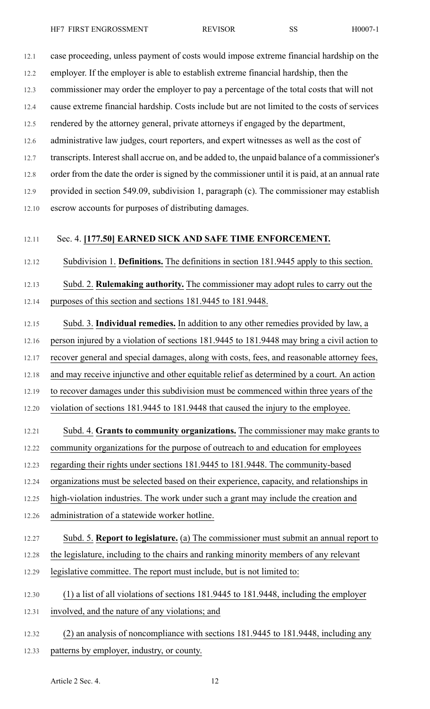12.2 employer. If the employer is able to establish extreme financial hardship, then the

12.3 commissioner may order the employer to pay a percentage of the total costs that will not

12.4 cause extreme financial hardship. Costs include but are not limited to the costs of services

12.5 rendered by the attorney general, private attorneys if engaged by the department,

12.6 administrative law judges, court reporters, and expert witnesses as well as the cost of

12.7 transcripts. Interest shall accrue on, and be added to, the unpaid balance of a commissioner's

12.8 order from the date the order is signed by the commissioner until it is paid, at an annual rate

12.9 provided in section 549.09, subdivision 1, paragraph (c). The commissioner may establish 12.10 escrow accounts for purposes of distributing damages.

### 12.11 Sec. 4. **[177.50] EARNED SICK AND SAFE TIME ENFORCEMENT.**

12.12 Subdivision 1. **Definitions.** The definitions in section 181.9445 apply to this section.

12.13 Subd. 2. **Rulemaking authority.** The commissioner may adopt rules to carry out the 12.14 purposes of this section and sections 181.9445 to 181.9448.

12.15 Subd. 3. **Individual remedies.** In addition to any other remedies provided by law, a

12.16 person injured by a violation of sections 181.9445 to 181.9448 may bring a civil action to

12.17 recover general and special damages, along with costs, fees, and reasonable attorney fees,

12.18 and may receive injunctive and other equitable relief as determined by a court. An action

12.19 to recover damages under this subdivision must be commenced within three years of the

12.20 violation of sections 181.9445 to 181.9448 that caused the injury to the employee.

### 12.21 Subd. 4. **Grants to community organizations.** The commissioner may make grants to

12.22 community organizations for the purpose of outreach to and education for employees

12.23 regarding their rights under sections 181.9445 to 181.9448. The community-based

12.24 organizations must be selected based on their experience, capacity, and relationships in

12.25 high-violation industries. The work under such a grant may include the creation and

12.26 administration of a statewide worker hotline.

# 12.27 Subd. 5. **Report to legislature.** (a) The commissioner must submit an annual report to

- 12.28 the legislature, including to the chairs and ranking minority members of any relevant 12.29 legislative committee. The report must include, but is not limited to:
- 
- 12.30 (1) a list of all violations of sections 181.9445 to 181.9448, including the employer
- 12.31 involved, and the nature of any violations; and
- 12.32 (2) an analysis of noncompliance with sections 181.9445 to 181.9448, including any 12.33 patterns by employer, industry, or county.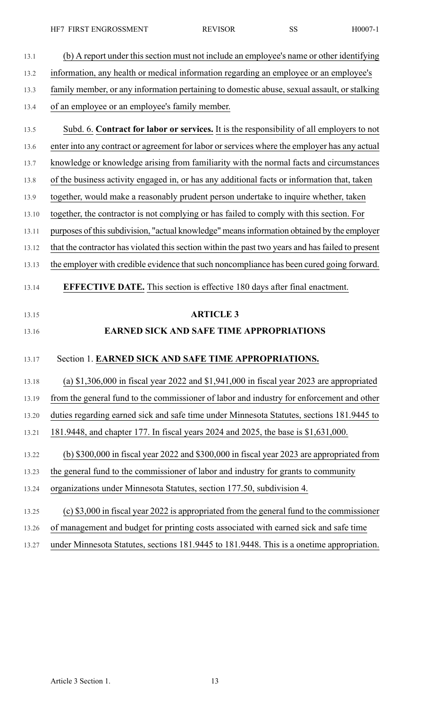HF7 FIRST ENGROSSMENT REVISOR SS H0007-1

| 13.1  | (b) A report under this section must not include an employee's name or other identifying          |
|-------|---------------------------------------------------------------------------------------------------|
| 13.2  | information, any health or medical information regarding an employee or an employee's             |
| 13.3  | family member, or any information pertaining to domestic abuse, sexual assault, or stalking       |
| 13.4  | of an employee or an employee's family member.                                                    |
| 13.5  | Subd. 6. Contract for labor or services. It is the responsibility of all employers to not         |
| 13.6  | enter into any contract or agreement for labor or services where the employer has any actual      |
| 13.7  | knowledge or knowledge arising from familiarity with the normal facts and circumstances           |
| 13.8  | of the business activity engaged in, or has any additional facts or information that, taken       |
| 13.9  | together, would make a reasonably prudent person undertake to inquire whether, taken              |
| 13.10 | together, the contractor is not complying or has failed to comply with this section. For          |
| 13.11 | purposes of this subdivision, "actual knowledge" means information obtained by the employer       |
| 13.12 | that the contractor has violated this section within the past two years and has failed to present |
| 13.13 | the employer with credible evidence that such noncompliance has been cured going forward.         |
| 13.14 | <b>EFFECTIVE DATE.</b> This section is effective 180 days after final enactment.                  |
| 13.15 | <b>ARTICLE 3</b>                                                                                  |
| 13.16 | <b>EARNED SICK AND SAFE TIME APPROPRIATIONS</b>                                                   |
| 13.17 | Section 1. EARNED SICK AND SAFE TIME APPROPRIATIONS.                                              |
| 13.18 | (a) $$1,306,000$ in fiscal year 2022 and $$1,941,000$ in fiscal year 2023 are appropriated        |
| 13.19 | from the general fund to the commissioner of labor and industry for enforcement and other         |
| 13.20 | duties regarding earned sick and safe time under Minnesota Statutes, sections 181.9445 to         |
| 13.21 | 181.9448, and chapter 177. In fiscal years 2024 and 2025, the base is \$1,631,000.                |
| 13.22 | (b) $$300,000$ in fiscal year 2022 and $$300,000$ in fiscal year 2023 are appropriated from       |
| 13.23 | the general fund to the commissioner of labor and industry for grants to community                |
| 13.24 | organizations under Minnesota Statutes, section 177.50, subdivision 4.                            |
| 13.25 | (c) \$3,000 in fiscal year 2022 is appropriated from the general fund to the commissioner         |
|       |                                                                                                   |

13.27 under Minnesota Statutes, sections 181.9445 to 181.9448. This is a onetime appropriation.